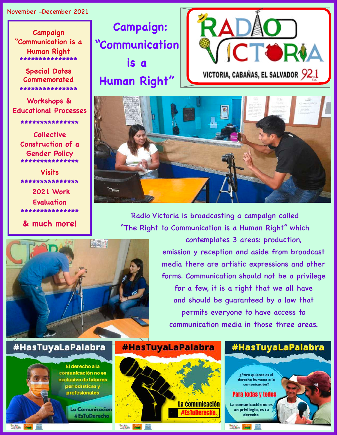#### November -December 2021

Campaign "Communication is a Human Right \*\*\*\*\*\*\*\*\*\*\*\*\*\*\*

**Special Dates** Commemorated \*\*\*\*\*\*\*\*\*\*\*\*\*\*\*

Workshops & **Educational Processes** \*\*\*\*\*\*\*\*\*\*\*\*\*\*\*

> **Collective** Construction of a **Gender Policy** \*\*\*\*\*\*\*\*\*\*\*\*\*\*\*

**Visits** \*\*\*\*\*\*\*\*\*\*\*\*\*\*\* **2021 Work** 

**Evaluation** \*\*\*\*\*\*\*\*\*\*\*\*\*\*\*

& much more!

**Campaign:** "Communication is a

Human Right"





Radio Victoria is broadcasting a campaign called "The Right to Communication is a Human Right" which



RACIONAL TIBU

### #HasTuyaLaPalabra

RACIONAL KAND. ITISHI

El derecho a la comunicación no es exclusivo de labores periodísticas y profesionales

> **La Comunicacion** #EsTuDerecho

**#HasTuyaLaPalabra** 



emission y reception and aside from broadcast media there are artistic expressions and other forms. Communication should not be a privilege for a few, it is a right that we all have and should be quaranteed by a law that permits everyone to have access to communication media in those three areas.

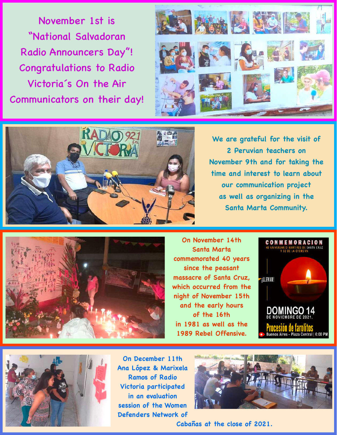November 1st is "National Salvadoran Radio Announcers Day"! Congratulations to Radio Victoria´s On the Air Communicators on their day!





**We are grateful for the visit of 2 Peruvian teachers on November 9th and for taking the time and interest to learn about our communication project as well as organizing in the Santa Marta Community.**



**On November 14th Santa Marta commemorated 40 years since the peasant massacre of Santa Cruz, which occurred from the night of November 15th and the early hours of the 16th in 1981 as well as the 1989 Rebel Offensive.**





**On December 11th Ana López & Marixela Ramos of Radio Victoria participated in an evaluation session of the Women Defenders Network of** 



**Cabañas at the close of 2021.**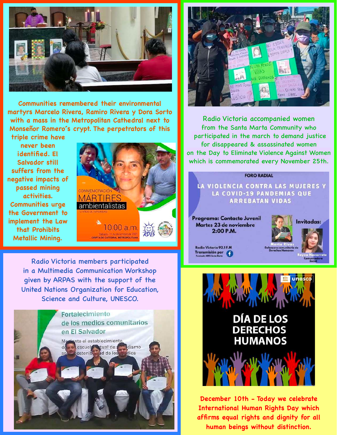

**Communities remembered their environmental martyrs Marcelo Rivera, Ramiro Rivera y Dora Sorto with a mass in the Metropolitan Cathedral next to Monseñor Romero´s crypt. The perpetrators of this** 

**triple crime have never been identified. El Salvador still suffers from the negative impacts of passed mining activities. Communities urge the Government to implement the Law that Prohibits Metallic Mining.**



Radio Victoria members participated in a Multimedia Communication Workshop given by ARPAS with the support of the United Nations Organization for Education, Science and Culture, UNESCO.





Radio Victoria accompanied women from the Santa Marta Community who participated in the march to demand justice for disappeared & assassinated women on the Day to Eliminate Violence Against Women which is commemorated every November 25th.

#### **FORO RADIAL**

LA VIOLENCIA CONTRA LAS MUJERES Y LA COVID-19 PANDEMIAS QUE **ARREBATAN VIDAS** 

Programa: Contacto Juvenil Martes 23 de noviembre 2:00 P.M.



Radio Victoria 92.1 F.M Transmisión por



**December 10th - Today we celebrate International Human Rights Day which affirms equal rights and dignity for all human beings without distinction.**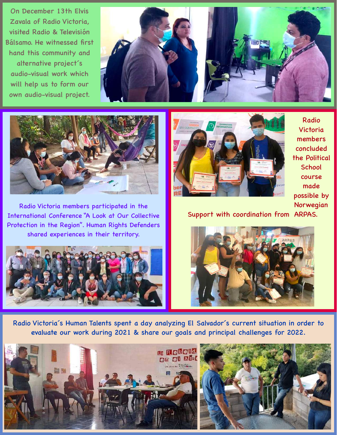On December 13th Elvis Zavala of Radio Victoria, visited Radio & Televisión Bálsamo. He witnessed first hand this community and alternative project´s audio-visual work which will help us to form our own audio-visual project.





Radio Victoria members participated in the International Conference "A Look at Our Collective Protection in the Region". Human Rights Defenders shared experiences in their territory.





Radio Victoria members concluded the Political **School** course made possible by Norwegian

Support with coordination from ARPAS.



Radio Victoria´s Human Talents spent a day analyzing El Salvador´s current situation in order to evaluate our work during 2021 & share our goals and principal challenges for 2022.